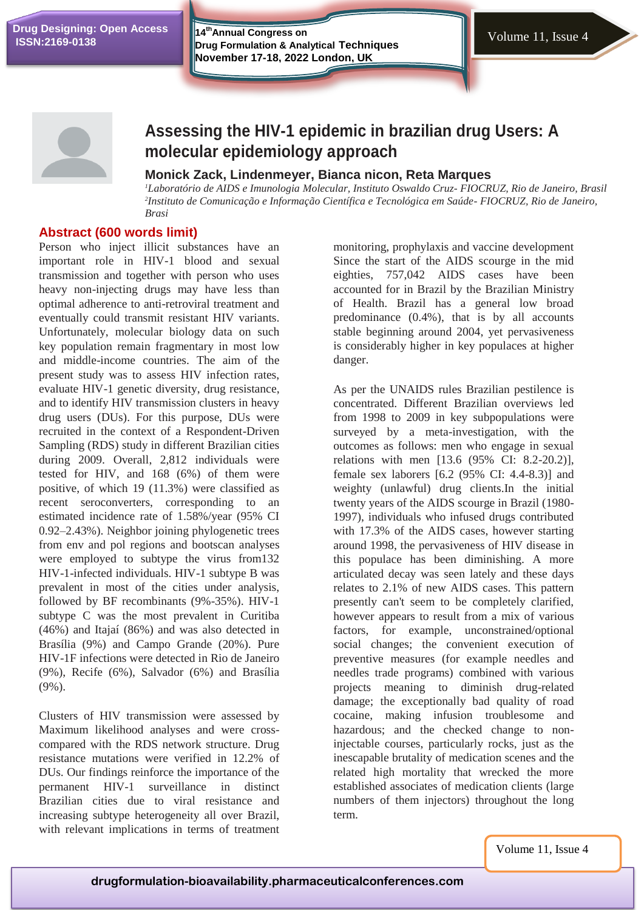**Drug Designing: Open Access**

**14thAnnual Congress on Drug Formulation & Analytical Techniques**<br> **ISSN:2169-0138 Drug Formulation & Analytical Techniques November 17-18, 2022 London, UK**



# **Assessing the HIV-1 epidemic in brazilian drug Users: A molecular epidemiology approach**

# **Monick Zack, Lindenmeyer, Bianca nicon, Reta Marques**

*<sup>1</sup>Laboratório de AIDS e Imunologia Molecular, Instituto Oswaldo Cruz- FIOCRUZ, Rio de Janeiro, Brasil 2 Instituto de Comunicação e Informação Científica e Tecnológica em Saúde- FIOCRUZ, Rio de Janeiro, Brasi*

# **Abstract (600 words limit)**

Person who inject illicit substances have an important role in HIV-1 blood and sexual transmission and together with person who uses heavy non-injecting drugs may have less than optimal adherence to anti-retroviral treatment and eventually could transmit resistant HIV variants. Unfortunately, molecular biology data on such key population remain fragmentary in most low and middle-income countries. The aim of the present study was to assess HIV infection rates, evaluate HIV-1 genetic diversity, drug resistance, and to identify HIV transmission clusters in heavy drug users (DUs). For this purpose, DUs were recruited in the context of a Respondent-Driven Sampling (RDS) study in different Brazilian cities during 2009. Overall, 2,812 individuals were tested for HIV, and 168 (6%) of them were positive, of which 19 (11.3%) were classified as recent seroconverters, corresponding to an estimated incidence rate of 1.58%/year (95% CI 0.92–2.43%). Neighbor joining phylogenetic trees from env and pol regions and bootscan analyses were employed to subtype the virus from132 HIV-1-infected individuals. HIV-1 subtype B was prevalent in most of the cities under analysis, followed by BF recombinants (9%-35%). HIV-1 subtype C was the most prevalent in Curitiba (46%) and Itajaí (86%) and was also detected in Brasília (9%) and Campo Grande (20%). Pure HIV-1F infections were detected in Rio de Janeiro (9%), Recife (6%), Salvador (6%) and Brasília (9%).

Clusters of HIV transmission were assessed by Maximum likelihood analyses and were crosscompared with the RDS network structure. Drug resistance mutations were verified in 12.2% of DUs. Our findings reinforce the importance of the permanent HIV-1 surveillance in distinct Brazilian cities due to viral resistance and increasing subtype heterogeneity all over Brazil, with relevant implications in terms of treatment monitoring, prophylaxis and vaccine development Since the start of the AIDS scourge in the mid eighties, 757,042 AIDS cases have been accounted for in Brazil by the Brazilian Ministry of Health. Brazil has a general low broad predominance (0.4%), that is by all accounts stable beginning around 2004, yet pervasiveness is considerably higher in key populaces at higher danger.

As per the UNAIDS rules Brazilian pestilence is concentrated. Different Brazilian overviews led from 1998 to 2009 in key subpopulations were surveyed by a meta-investigation, with the outcomes as follows: men who engage in sexual relations with men [13.6 (95% CI: 8.2-20.2)], female sex laborers [6.2 (95% CI: 4.4-8.3)] and weighty (unlawful) drug clients.In the initial twenty years of the AIDS scourge in Brazil (1980- 1997), individuals who infused drugs contributed with 17.3% of the AIDS cases, however starting around 1998, the pervasiveness of HIV disease in this populace has been diminishing. A more articulated decay was seen lately and these days relates to 2.1% of new AIDS cases. This pattern presently can't seem to be completely clarified, however appears to result from a mix of various factors, for example, unconstrained/optional social changes; the convenient execution of preventive measures (for example needles and needles trade programs) combined with various projects meaning to diminish drug-related damage; the exceptionally bad quality of road cocaine, making infusion troublesome and hazardous; and the checked change to noninjectable courses, particularly rocks, just as the inescapable brutality of medication scenes and the related high mortality that wrecked the more established associates of medication clients (large numbers of them injectors) throughout the long term.

Volume 11, Issue 4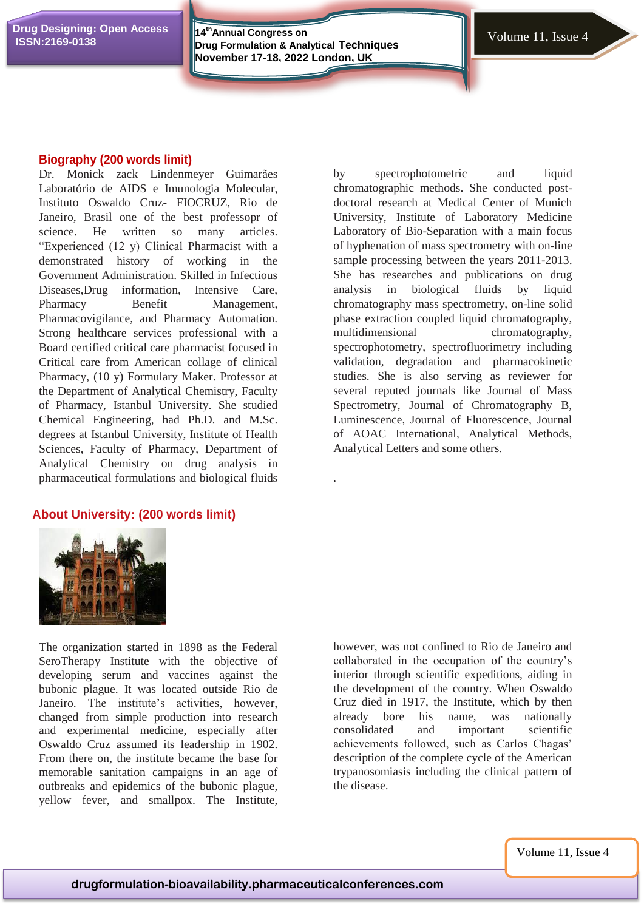**14thAnnual Congress on Drug Formulation & Analytical Techniques**<br> **ISSN:2169-0138 Drug Formulation & Analytical Techniques November 17-18, 2022 London, UK**

.

#### **Biography (200 words limit)**

Dr. Monick zack Lindenmeyer Guimarães Laboratório de AIDS e Imunologia Molecular, Instituto Oswaldo Cruz- FIOCRUZ, Rio de Janeiro, Brasil one of the best professopr of science. He written so many articles. "Experienced (12 y) Clinical Pharmacist with a demonstrated history of working in the Government Administration. Skilled in Infectious Diseases,Drug information, Intensive Care, Pharmacy Benefit Management, Pharmacovigilance, and Pharmacy Automation. Strong healthcare services professional with a Board certified critical care pharmacist focused in Critical care from American collage of clinical Pharmacy, (10 y) Formulary Maker. Professor at the Department of Analytical Chemistry, Faculty of Pharmacy, Istanbul University. She studied Chemical Engineering, had Ph.D. and M.Sc. degrees at Istanbul University, Institute of Health Sciences, Faculty of Pharmacy, Department of Analytical Chemistry on drug analysis in pharmaceutical formulations and biological fluids

## **About University: (200 words limit)**

by spectrophotometric and liquid chromatographic methods. She conducted postdoctoral research at Medical Center of Munich University, Institute of Laboratory Medicine Laboratory of Bio-Separation with a main focus of hyphenation of mass spectrometry with on-line sample processing between the years 2011-2013. She has researches and publications on drug analysis in biological fluids by liquid chromatography mass spectrometry, on-line solid phase extraction coupled liquid chromatography, multidimensional chromatography, spectrophotometry, spectrofluorimetry including validation, degradation and pharmacokinetic studies. She is also serving as reviewer for several reputed journals like Journal of Mass Spectrometry, Journal of Chromatography B, Luminescence, Journal of Fluorescence, Journal of AOAC International, Analytical Methods, Analytical Letters and some others.



The organization started in 1898 as the Federal SeroTherapy Institute with the objective of developing serum and vaccines against the bubonic plague. It was located outside Rio de Janeiro. The institute's activities, however, changed from simple production into research and experimental medicine, especially after Oswaldo Cruz assumed its leadership in 1902. From there on, the institute became the base for memorable sanitation campaigns in an age of outbreaks and epidemics of the bubonic plague, yellow fever, and smallpox. The Institute,

however, was not confined to Rio de Janeiro and collaborated in the occupation of the country's interior through scientific expeditions, aiding in the development of the country. When Oswaldo Cruz died in 1917, the Institute, which by then already bore his name, was nationally consolidated and important scientific achievements followed, such as Carlos Chagas' description of the complete cycle of the American trypanosomiasis including the clinical pattern of the disease.